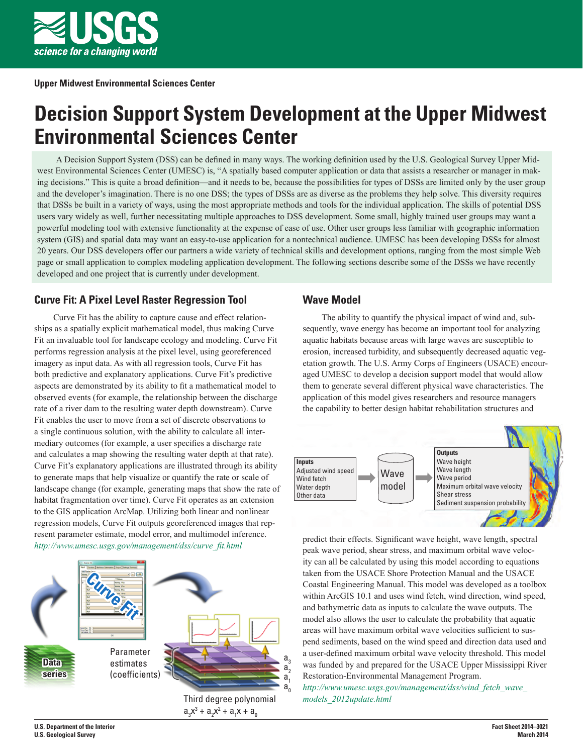

# **Decision Support System Development at the Upper Midwest Environmental Sciences Center**

A Decision Support System (DSS) can be defined in many ways. The working definition used by the U.S. Geological Survey Upper Midwest Environmental Sciences Center (UMESC) is, "A spatially based computer application or data that assists a researcher or manager in making decisions." This is quite a broad definition—and it needs to be, because the possibilities for types of DSSs are limited only by the user group and the developer's imagination. There is no one DSS; the types of DSSs are as diverse as the problems they help solve. This diversity requires that DSSs be built in a variety of ways, using the most appropriate methods and tools for the individual application. The skills of potential DSS users vary widely as well, further necessitating multiple approaches to DSS development. Some small, highly trained user groups may want a powerful modeling tool with extensive functionality at the expense of ease of use. Other user groups less familiar with geographic information system (GIS) and spatial data may want an easy-to-use application for a nontechnical audience. UMESC has been developing DSSs for almost 20 years. Our DSS developers offer our partners a wide variety of technical skills and development options, ranging from the most simple Web page or small application to complex modeling application development. The following sections describe some of the DSSs we have recently developed and one project that is currently under development.

## **Curve Fit: A Pixel Level Raster Regression Tool**

Curve Fit has the ability to capture cause and effect relationships as a spatially explicit mathematical model, thus making Curve Fit an invaluable tool for landscape ecology and modeling. Curve Fit performs regression analysis at the pixel level, using georeferenced imagery as input data. As with all regression tools, Curve Fit has both predictive and explanatory applications. Curve Fit's predictive aspects are demonstrated by its ability to fit a mathematical model to observed events (for example, the relationship between the discharge rate of a river dam to the resulting water depth downstream). Curve Fit enables the user to move from a set of discrete observations to a single continuous solution, with the ability to calculate all intermediary outcomes (for example, a user specifies a discharge rate and calculates a map showing the resulting water depth at that rate). Curve Fit's explanatory applications are illustrated through its ability to generate maps that help visualize or quantify the rate or scale of landscape change (for example, generating maps that show the rate of habitat fragmentation over time). Curve Fit operates as an extension to the GIS application ArcMap. Utilizing both linear and nonlinear regression models, Curve Fit outputs georeferenced images that represent parameter estimate, model error, and multimodel inference. *http://www.umesc.usgs.gov/management/dss/curve\_fit.html*



### **Wave Model**

The ability to quantify the physical impact of wind and, subsequently, wave energy has become an important tool for analyzing aquatic habitats because areas with large waves are susceptible to erosion, increased turbidity, and subsequently decreased aquatic vegetation growth. The U.S. Army Corps of Engineers (USACE) encouraged UMESC to develop a decision support model that would allow them to generate several different physical wave characteristics. The application of this model gives researchers and resource managers the capability to better design habitat rehabilitation structures and



predict their effects. Significant wave height, wave length, spectral peak wave period, shear stress, and maximum orbital wave velocity can all be calculated by using this model according to equations taken from the USACE Shore Protection Manual and the USACE Coastal Engineering Manual. This model was developed as a toolbox within ArcGIS 10.1 and uses wind fetch, wind direction, wind speed, and bathymetric data as inputs to calculate the wave outputs. The model also allows the user to calculate the probability that aquatic areas will have maximum orbital wave velocities sufficient to suspend sediments, based on the wind speed and direction data used and a user-defined maximum orbital wave velocity threshold. This model was funded by and prepared for the USACE Upper Mississippi River Restoration-Environmental Management Program.

*http://www.umesc.usgs.gov/management/dss/wind\_fetch\_wave\_ models\_2012update.html*